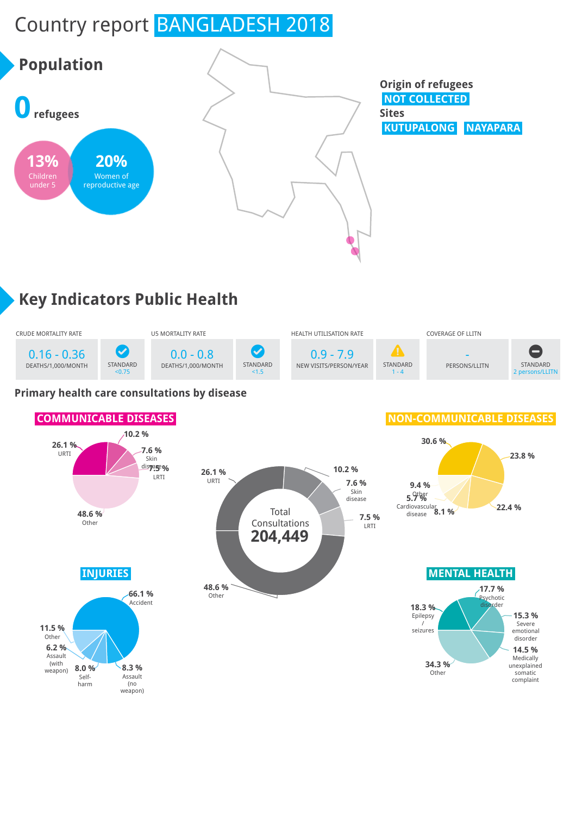# Country report BANGLADESH 2018



# **Key Indicators Public Health**



#### **Primary health care consultations by disease**

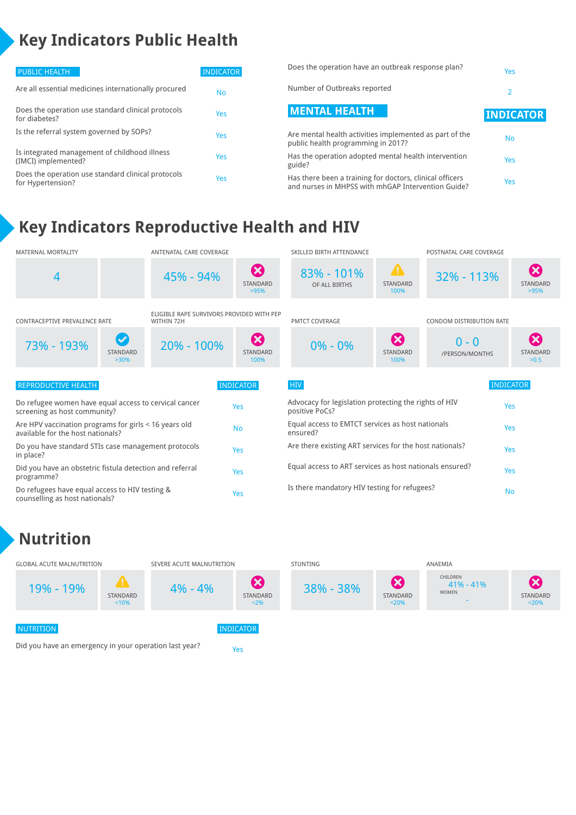# **Key Indicators Public Health**

| <b>PUBLIC HEALTH</b>                                                    | <b>INDICATOR</b> | Does the operation have an outbreak response plan?                                                             | Yes              |
|-------------------------------------------------------------------------|------------------|----------------------------------------------------------------------------------------------------------------|------------------|
| Are all essential medicines internationally procured                    | No               | Number of Outbreaks reported                                                                                   |                  |
| Does the operation use standard clinical protocols<br>for diabetes?     | Yes              | <b>MENTAL HEALTH</b>                                                                                           | <b>INDICATOR</b> |
| Is the referral system governed by SOPs?                                | Yes              | Are mental health activities implemented as part of the<br>public health programming in 2017?                  | <b>No</b>        |
| Is integrated management of childhood illness<br>(IMCI) implemented?    | Yes              | Has the operation adopted mental health intervention<br>guide?                                                 | Yes              |
| Does the operation use standard clinical protocols<br>for Hypertension? | Yes              | Has there been a training for doctors, clinical officers<br>and nurses in MHPSS with mhGAP Intervention Guide? | Yes              |

### **Key Indicators Reproductive Health and HIV**

| <b>MATERNAL MORTALITY</b><br>ANTENATAL CARE COVERAGE                                            |                                                                 |            | SKILLED BIRTH ATTENDANCE                                                |                             | POSTNATAL CARE COVERAGE                   |                           |                                                  |
|-------------------------------------------------------------------------------------------------|-----------------------------------------------------------------|------------|-------------------------------------------------------------------------|-----------------------------|-------------------------------------------|---------------------------|--------------------------------------------------|
| 4                                                                                               |                                                                 | 45% - 94%  | $\boldsymbol{\omega}$<br>STANDARD<br>>95%                               | 83% - 101%<br>OF ALL BIRTHS | $\mathbf{A}$<br><b>STANDARD</b><br>100%   | 32% - 113%                | $\boldsymbol{\Omega}$<br><b>STANDARD</b><br>>95% |
| ELIGIBLE RAPE SURVIVORS PROVIDED WITH PEP<br><b>CONTRACEPTIVE PREVALENCE RATE</b><br>WITHIN 72H |                                                                 |            | <b>PMTCT COVERAGE</b><br>CONDOM DISTRIBUTION RATE                       |                             |                                           |                           |                                                  |
| 73% - 193%                                                                                      | $\left( \bigtriangledown \right)$<br><b>STANDARD</b><br>$>30\%$ | 20% - 100% | $\boldsymbol{\omega}$<br>STANDARD<br>100%                               | $0\% - 0\%$                 | $\boldsymbol{\Omega}$<br>STANDARD<br>100% | $0 - 0$<br>/PERSON/MONTHS | $\boldsymbol{\Omega}$<br><b>STANDARD</b><br>>0.5 |
| REPRODUCTIVE HEALTH                                                                             |                                                                 |            | <b>INDICATOR</b>                                                        | <b>HIV</b>                  |                                           |                           | <b>INDICATOR</b>                                 |
| Do refugee women have equal access to cervical cancer<br>screening as host community?           |                                                                 | Yes        | Advocacy for legislation protecting the rights of HIV<br>positive PoCs? |                             |                                           | Yes                       |                                                  |
| Are HPV vaccination programs for girls < 16 years old<br>available for the host nationals?      |                                                                 | <b>No</b>  | Equal access to EMTCT services as host nationals<br>ensured?            |                             |                                           | Yes                       |                                                  |
| Do you have standard STIs case management protocols<br>in place?                                |                                                                 | Yes        | Are there existing ART services for the host nationals?                 |                             |                                           | Yes                       |                                                  |
| Did you have an obstetric fistula detection and referral<br>programme?                          |                                                                 | Yes        | Equal access to ART services as host nationals ensured?                 |                             |                                           | Yes                       |                                                  |
| Do refugees have equal access to HIV testing &<br>counselling as host nationals?                |                                                                 | Yes        | Is there mandatory HIV testing for refugees?                            |                             |                                           | <b>No</b>                 |                                                  |

#### **Nutrition**



Did you have an emergency in your operation last year?